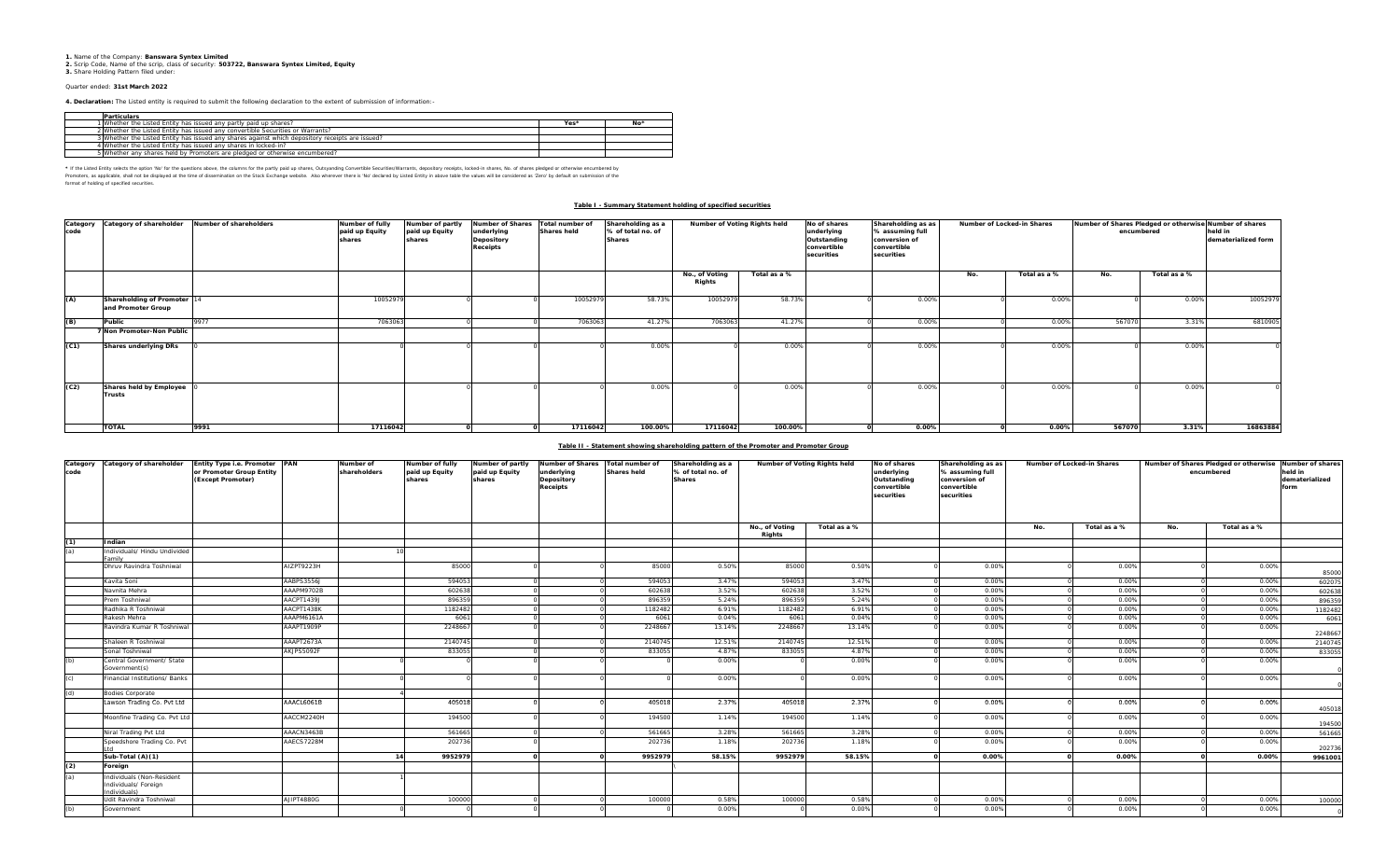**1.** Name of the Company: **Banswara Syntex Limited 2.** Scrip Code, Name of the scrip, class of security: **503722, Banswara Syntex Limited, Equity 3.** Share Holding Pattern filed under:

## Quarter ended: **31st March 2022**

**4. Declaration:** The Listed entity is required to submit the following declaration to the extent of submission of information:-

| Particulars                                                                                     |                  |    |
|-------------------------------------------------------------------------------------------------|------------------|----|
| 1 Whether the Listed Entity has issued any partly paid up shares?                               | Yes <sup>*</sup> | No |
| 2 Whether the Listed Entity has issued any convertible Securities or Warrants?                  |                  |    |
| 3 Whether the Listed Entity has issued any shares against which depository receipts are issued? |                  |    |
| 4 Whether the Listed Entity has issued any shares in locked-in?                                 |                  |    |
| 5 Whether any shares held by Promoters are pledged or otherwise encumbered?                     |                  |    |

\* If the Listed Entity selects the option 'No' for the questions above, the columns for the partly paid up shares, Outsyanding Convertible Securities/Warrants, depository receipts, locked-in shares, No. of shares pledged o

Promoters, as applicable, shall not be dissemination on the Stock Exchange website. Also wherever there is 'No' declared by Listed Entity in above table the values will be considered as "Zero' by default on submission of t

## **Table I - Summary Statement holding of specified securities**

| code | Category Category of shareholder               | Number of shareholders | Number of fully<br>paid up Equity<br>shares | Number of partly<br>paid up Equity<br>shares | Number of Shares<br>underlying<br>Depository<br><b>Receipts</b> | Total number of<br><b>Shares held</b> | Shareholding as a<br>% of total no. of<br><b>Shares</b> | Number of Voting Rights held |              | No of shares<br>underlying<br>Outstanding<br>convertible<br>securities | Shareholding as as<br>% assuming full<br>conversion of<br>convertible<br>securities |     | Number of Locked-in Shares |        | Number of Shares Pledged or otherwise Number of shares<br>encumbered |          |
|------|------------------------------------------------|------------------------|---------------------------------------------|----------------------------------------------|-----------------------------------------------------------------|---------------------------------------|---------------------------------------------------------|------------------------------|--------------|------------------------------------------------------------------------|-------------------------------------------------------------------------------------|-----|----------------------------|--------|----------------------------------------------------------------------|----------|
|      |                                                |                        |                                             |                                              |                                                                 |                                       |                                                         | No., of Voting<br>Rights     | Total as a % |                                                                        |                                                                                     | No. | Total as a %               | No.    | Total as a %                                                         |          |
| (A)  | Shareholding of Promoter<br>and Promoter Group |                        | 10052979                                    |                                              |                                                                 | 10052979                              | 58.73%                                                  | 10052979                     | 58.73%       |                                                                        | 0.00%                                                                               |     | 0.00%                      |        | 0.009                                                                | 10052979 |
| (B)  | Public                                         | 9977                   | 7063063                                     |                                              |                                                                 | 7063063                               | 41.27%                                                  | 7063063                      | 41.27%       |                                                                        | 0.00%                                                                               |     | 0.00%                      | 567070 | 3.31%                                                                | 6810905  |
|      | 7 Non Promoter-Non Public                      |                        |                                             |                                              |                                                                 |                                       |                                                         |                              |              |                                                                        |                                                                                     |     |                            |        |                                                                      |          |
| (C1) | <b>Shares underlying DRs</b>                   |                        |                                             |                                              |                                                                 |                                       | 0.00%                                                   |                              | 0.00%        |                                                                        | 0.00%                                                                               |     | 0.00%                      |        | 0.009                                                                |          |
| (C2) | Shares held by Employee<br><b>Trusts</b>       |                        |                                             |                                              |                                                                 |                                       | 0.00%                                                   |                              | 0.00%        |                                                                        | 0.00%                                                                               |     | 0.00%                      |        | 0.00%                                                                |          |
|      | <b>TOTAL</b>                                   | 9991                   | 17116042                                    |                                              |                                                                 | 17116042                              | 100.00%                                                 | 17116042                     | 100.00%      |                                                                        | $0.00\%$                                                                            |     | 0.00%                      | 567070 | 3.31%                                                                | 16863884 |

# **Table II - Statement showing shareholding pattern of the Promoter and Promoter Group**

| Category<br>code | Category of shareholder                                          | Entity Type i.e. Promoter<br>or Promoter Group Entity<br>(Except Promoter) |            | PAN | Number of<br>shareholders | Number of fully<br>paid up Equity<br>shares | Number of partly<br>paid up Equity<br>shares | <b>Number of Shares</b><br>underlying<br>Depository<br><b>Receipts</b> | Total number of<br><b>Shares held</b> | Shareholding as a<br>% of total no. of<br><b>Shares</b> | Number of Voting Rights held |  | No of shares<br>underlying<br>Outstanding<br>convertible<br>securities | Shareholding as as<br>% assuming full<br>conversion of<br>convertible<br>securities |              | Number of Locked-in Shares |              | Number of Shares Pledged or otherwise<br>encumbered | Number of shares<br>held in<br>dematerialized<br>form |
|------------------|------------------------------------------------------------------|----------------------------------------------------------------------------|------------|-----|---------------------------|---------------------------------------------|----------------------------------------------|------------------------------------------------------------------------|---------------------------------------|---------------------------------------------------------|------------------------------|--|------------------------------------------------------------------------|-------------------------------------------------------------------------------------|--------------|----------------------------|--------------|-----------------------------------------------------|-------------------------------------------------------|
|                  |                                                                  |                                                                            |            |     |                           |                                             |                                              |                                                                        |                                       | No., of Voting                                          | Total as a %                 |  |                                                                        | No.                                                                                 | Total as a % | No.                        | Total as a % |                                                     |                                                       |
| (1)              | Indian                                                           |                                                                            |            |     |                           |                                             |                                              |                                                                        |                                       | Rights                                                  |                              |  |                                                                        |                                                                                     |              |                            |              |                                                     |                                                       |
| (a)              | Individuals/ Hindu Undivided                                     |                                                                            |            |     |                           |                                             |                                              |                                                                        |                                       |                                                         |                              |  |                                                                        |                                                                                     |              |                            |              |                                                     |                                                       |
|                  | amily                                                            |                                                                            |            |     |                           |                                             |                                              |                                                                        |                                       |                                                         |                              |  |                                                                        |                                                                                     |              |                            |              |                                                     |                                                       |
|                  | Dhruv Ravindra Toshniwal                                         |                                                                            | AIZPT9223H |     | 85000                     |                                             |                                              | 85000                                                                  | 0.50%                                 | 85000                                                   | 0.50%                        |  | 0.00%                                                                  |                                                                                     | 0.00%        |                            | 0.00%        | 85000                                               |                                                       |
|                  | Kavita Soni                                                      |                                                                            | AABPS3556J |     | 594053                    |                                             |                                              | 594053                                                                 | 3.47%                                 | 594053                                                  | 3.47%                        |  | 0.00%                                                                  |                                                                                     | 0.00%        |                            | 0.00%        | 602075                                              |                                                       |
|                  | Vavnita Mehra                                                    |                                                                            | AAAPM9702B |     | 602638                    |                                             |                                              | 60263                                                                  | 3.52%                                 | 602638                                                  | 3.52%                        |  | 0.00%                                                                  |                                                                                     | 0.00%        |                            | 0.00%        | 602638                                              |                                                       |
|                  | rem Toshniwal                                                    |                                                                            | AACPT1439J |     | 896359                    |                                             |                                              | 89635                                                                  | 5.24%                                 | 896359                                                  | 5.24%                        |  | 0.00%                                                                  |                                                                                     | 0.00%        |                            | 0.00%        | 896359                                              |                                                       |
|                  | Radhika R Toshniwal                                              |                                                                            | AACPT1438K |     | 1182482                   |                                             |                                              | 1182482                                                                | 6.91%                                 | 1182482                                                 | 6.91%                        |  | 0.00%                                                                  |                                                                                     | 0.00%        |                            | 0.00%        | 1182482                                             |                                                       |
|                  | Rakesh Mehra                                                     |                                                                            | AAAPM6161A |     | 6061                      |                                             |                                              | 6061                                                                   | 0.04%                                 | 6061                                                    | 0.04%                        |  | 0.00%                                                                  |                                                                                     | 0.00%        |                            | 0.00%        | 6061                                                |                                                       |
|                  | Ravindra Kumar R Toshniwal                                       |                                                                            | AAAPT1909P |     | 2248667                   |                                             |                                              | 2248667                                                                | 13.14%                                | 2248667                                                 | 13.14%                       |  | 0.00%                                                                  |                                                                                     | 0.00%        |                            | 0.00%        | 2248667                                             |                                                       |
|                  | Shaleen R Toshniwal                                              |                                                                            | AAAPT2673A |     | 2140745                   |                                             |                                              | 2140745                                                                | 12.51%                                | 2140745                                                 | 12.51%                       |  | 0.00%                                                                  |                                                                                     | 0.00%        |                            | 0.00%        | 2140745                                             |                                                       |
|                  | Sonal Toshniwal                                                  |                                                                            | AKJPS5092F |     | 833055                    |                                             |                                              | 833055                                                                 | 4.87%                                 | 833055                                                  | 4.87%                        |  | 0.00%                                                                  |                                                                                     | 0.00%        |                            | 0.00%        | 833055                                              |                                                       |
|                  | Central Government/ State<br>Government(s)                       |                                                                            |            |     |                           |                                             |                                              |                                                                        | 0.00%                                 |                                                         | 0.00%                        |  | 0.00%                                                                  |                                                                                     | 0.00%        |                            | 0.00%        |                                                     |                                                       |
|                  | Financial Institutions/ Banks                                    |                                                                            |            |     |                           |                                             |                                              |                                                                        | 0.00%                                 |                                                         | 0.00%                        |  | 0.00%                                                                  |                                                                                     | 0.00%        |                            | 0.00%        |                                                     |                                                       |
| (d)              | <b>Bodies Corporate</b>                                          |                                                                            |            |     |                           |                                             |                                              |                                                                        |                                       |                                                         |                              |  |                                                                        |                                                                                     |              |                            |              |                                                     |                                                       |
|                  | Lawson Trading Co. Pvt Ltd                                       |                                                                            | AAACL6061B |     | 405018                    |                                             |                                              | 405018                                                                 | 2.37%                                 | 405018                                                  | 2.37%                        |  | 0.00%                                                                  |                                                                                     | 0.00%        |                            | 0.00%        | 405018                                              |                                                       |
|                  | Moonfine Trading Co. Pvt Ltd                                     |                                                                            | AACCM2240H |     | 194500                    |                                             |                                              | 194500                                                                 | 1.14%                                 | 194500                                                  | 1.14%                        |  | 0.00%                                                                  |                                                                                     | 0.00%        |                            | 0.00%        | 194500                                              |                                                       |
|                  | Niral Trading Pvt Ltd                                            |                                                                            | AAACN3463B |     | 561665                    |                                             |                                              | 561665                                                                 | 3.28%                                 | 561665                                                  | 3.28%                        |  | 0.00%                                                                  |                                                                                     | 0.00%        |                            | 0.00%        | 561665                                              |                                                       |
|                  | Speedshore Trading Co. Pvt                                       |                                                                            | AAECS7228M |     | 202736                    |                                             |                                              | 202736                                                                 | 1.18%                                 | 202736                                                  | 1.18%                        |  | 0.00%                                                                  |                                                                                     | 0.00%        |                            | 0.00%        | 202736                                              |                                                       |
|                  | Sub-Total (A)(1)                                                 |                                                                            |            |     | 9952979<br>14             |                                             |                                              | 9952979                                                                | 58.15%                                | 9952979                                                 | 58.15%                       |  | 0.00%                                                                  |                                                                                     | 0.00%        |                            | 0.00%        | 9961001                                             |                                                       |
| (2)              | Foreign                                                          |                                                                            |            |     |                           |                                             |                                              |                                                                        |                                       |                                                         |                              |  |                                                                        |                                                                                     |              |                            |              |                                                     |                                                       |
| (a)              | Individuals (Non-Resident<br>Individuals/ Foreign<br>(zlaubivibn |                                                                            |            |     |                           |                                             |                                              |                                                                        |                                       |                                                         |                              |  |                                                                        |                                                                                     |              |                            |              |                                                     |                                                       |
|                  | Udit Ravindra Toshniwal                                          |                                                                            | AJIPT4880G |     | 100000                    |                                             |                                              | 100000                                                                 | 0.58%                                 | 100000                                                  | 0.58%                        |  | 0.00%                                                                  |                                                                                     | 0.00%        |                            | 0.00%        | 100000                                              |                                                       |
|                  | Government                                                       |                                                                            |            |     |                           |                                             |                                              |                                                                        | 0.00%                                 |                                                         | 0.00%                        |  | 0.00%                                                                  |                                                                                     | 0.00%        |                            | 0.00%        |                                                     |                                                       |
|                  |                                                                  |                                                                            |            |     |                           |                                             |                                              |                                                                        |                                       |                                                         |                              |  |                                                                        |                                                                                     |              |                            |              |                                                     |                                                       |